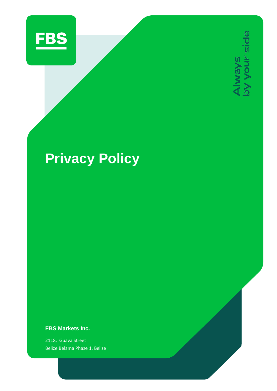

Always<br>by your side

# **Privacy Policy**

**FBS Markets Inc.**

2118, Guava Street Belize Belama Phaze 1, Belize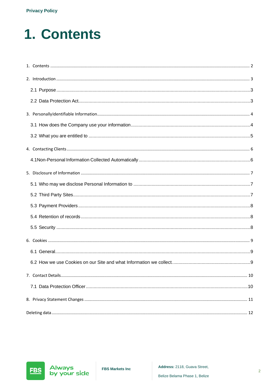# <span id="page-1-0"></span>1. Contents

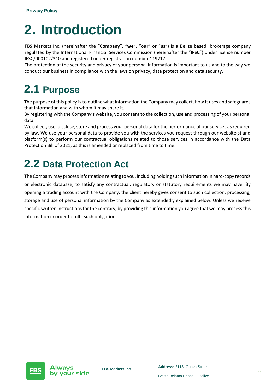## <span id="page-2-0"></span>**2. Introduction**

FBS Markets Inc. (hereinafter the "**Company**", "**we**", "**our**" or "**us**") is a Belize based brokerage company regulated by the International Financial Services Commission (hereinafter the "**IFSC**") under license number IFSC/000102/310 and registered under registration number 119717.

The protection of the security and privacy of your personal information is important to us and to the way we conduct our business in compliance with the laws on privacy, data protection and data security.

### <span id="page-2-1"></span>**2.1 Purpose**

The purpose of this policy is to outline what information the Company may collect, how it uses and safeguards that information and with whom it may share it.

By registering with the Company's website, you consent to the collection, use and processing of your personal data.

We collect, use, disclose, store and process your personal data for the performance of our services as required by law. We use your personal data to provide you with the services you request through our website(s) and platform(s) to perform our contractual obligations related to those services in accordance with the Data Protection Bill of 2021, as this is amended or replaced from time to time.

### <span id="page-2-2"></span>**2.2 Data Protection Act**

The Company may process information relating to you, including holding such information in hard-copy records or electronic database, to satisfy any contractual, regulatory or statutory requirements we may have. By opening a trading account with the Company, the client hereby gives consent to such collection, processing, storage and use of personal information by the Company as extendedly explained below. Unless we receive specific written instructions for the contrary, by providing this information you agree that we may process this information in order to fulfil such obligations.



**Address:** 2118, Guava Street, **FBS Markets Inc Address:** 2118, Guava Street,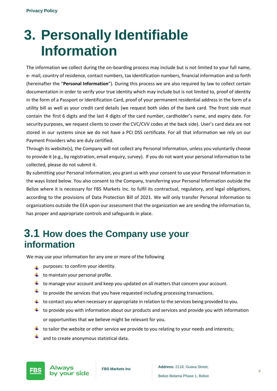## <span id="page-3-0"></span>**3. Personally Identifiable Information**

The information we collect during the on-boarding process may include but is not limited to your full name, e- mail, country of residence, contact numbers, tax identification numbers, financial information and so forth (hereinafter the "**Personal Information**"). During this process we are also required by law to collect certain documentation in order to verify your true identity which may include but is not limited to, proof of identity in the form of a Passport or Identification Card, proof of your permanent residential address in the form of a utility bill as well as your credit card details (we request both sides of the bank card. The front side must contain the first 6 digits and the last 4 digits of the card number, cardholder's name, and expiry date. For security purposes, we request clients to cover the CVC/CVV codes at the back side). User's card data are not stored in our systems since we do not have a PCI DSS certificate. For all that information we rely on our Payment Providers who are duly certified.

Through its website(s), the Company will not collect any Personal Information, unless you voluntarily choose to provide it (e.g., by registration, email enquiry, survey). If you do not want your personal information to be collected, please do not submit it.

By submitting your Personal Information, you grant us with your consent to use your Personal Information in the ways listed below. You also consent to the Company, transferring your Personal Information outside the Belize where it is necessary for FBS Markets Inc. to fulfil its contractual, regulatory, and legal obligations, according to the provisions of Data Protection Bill of 2021. We will only transfer Personal Information to organizations outside the EEA upon our assessment that the organization we are sending the information to, has proper and appropriate controls and safeguards in place.

#### <span id="page-3-1"></span>**3.1 How does the Company use your information**

We may use your information for any one or more of the following

- $\perp$  purposes: to confirm your identity.
- $\ddot{\phantom{1}}$  to maintain your personal profile.
- $\ddot{\phantom{1}}$  to manage your account and keep you updated on all matters that concern your account.
- ÷ to provide the services that you have requested including processing transactions.
- $\downarrow$  to contact you when necessary or appropriate in relation to the services being provided to you.
- $\ddot{\phantom{1}}$  to provide you with information about our products and services and provide you with information or opportunities that we believe might be relevant for you.
- $\ddot{+}$  to tailor the website or other service we provide to you relating to your needs and interests;
- ٠ and to create anonymous statistical data.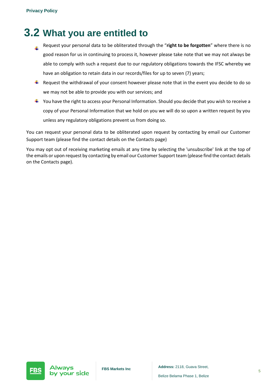### <span id="page-4-0"></span>**3.2 What you are entitled to**

- Request your personal data to be obliterated through the "**right to be forgotten**" where there is no á. good reason for us in continuing to process it, however please take note that we may not always be able to comply with such a request due to our regulatory obligations towards the IFSC whereby we have an obligation to retain data in our records/files for up to seven (7) years;
- $\pm$  Request the withdrawal of your consent however please note that in the event you decide to do so we may not be able to provide you with our services; and
- $\ddot{\phantom{1}}$  You have the right to access your Personal Information. Should you decide that you wish to receive a copy of your Personal Information that we hold on you we will do so upon a written request by you unless any regulatory obligations prevent us from doing so.

You can request your personal data to be obliterated upon request by contacting by email our Customer Support team (please find the contact details on the Contacts page)

You may opt out of receiving marketing emails at any time by selecting the 'unsubscribe' link at the top of the emails or upon request by contacting by email our Customer Support team (please find the contact details on the Contacts page).

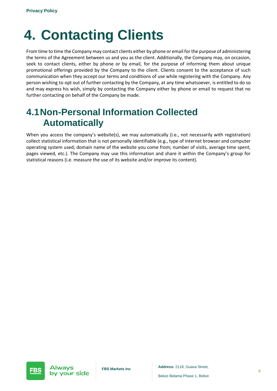# <span id="page-5-0"></span>**4. Contacting Clients**

From time to time the Company may contact clients either by phone or email for the purpose of administering the terms of the Agreement between us and you as the client. Additionally, the Company may, on occasion, seek to contact clients, either by phone or by email, for the purpose of informing them about unique promotional offerings provided by the Company to the client. Clients consent to the acceptance of such communication when they accept our terms and conditions of use while registering with the Company. Any person wishing to opt out of further contacting by the Company, at any time whatsoever, is entitled to do so and may express his wish, simply by contacting the Company either by phone or email to request that no further contacting on behalf of the Company be made.

#### <span id="page-5-1"></span>**4.1Non-Personal Information Collected Automatically**

When you access the company's website(s), we may automatically (i.e., not necessarily with registration) collect statistical information that is not personally identifiable (e.g., type of internet browser and computer operating system used; domain name of the website you come from; number of visits, average time spent, pages viewed, etc.). The Company may use this information and share it within the Company's group for statistical reasons (i.e. measure the use of its website and/or improve its content).

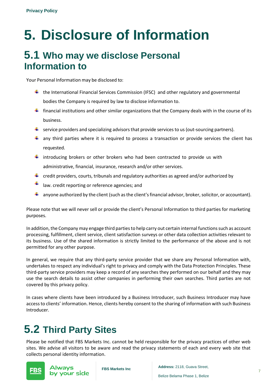# <span id="page-6-0"></span>**5. Disclosure of Information**

#### <span id="page-6-1"></span>**5.1 Who may we disclose Personal Information to**

Your Personal Information may be disclosed to:

- $\ddot{+}$  the International Financial Services Commission (IFSC) and other regulatory and governmental bodies the Company is required by law to disclose information to.
- $\ddot{\phantom{1}}$  financial institutions and other similar organizations that the Company deals with in the course of its business.
- $\ddot{\phantom{1}}$  service providers and specializing advisors that provide services to us (out-sourcing partners).
- $\ddot{+}$  any third parties where it is required to process a transaction or provide services the client has requested.
- $\ddot{+}$  introducing brokers or other brokers who had been contracted to provide us with administrative, financial, insurance, research and/or other services.
- $\ddot{+}$  credit providers, courts, tribunals and regulatory authorities as agreed and/or authorized by
- law. credit reporting or reference agencies; and
- $\ddot{\bullet}$  anyone authorized by the client (such as the client's financial advisor, broker, solicitor, or accountant).

Please note that we will never sell or provide the client's Personal Information to third parties for marketing purposes.

In addition, the Company may engage third parties to help carry out certain internal functions such as account processing, fulfillment, client service, client satisfaction surveys or other data collection activities relevant to its business. Use of the shared information is strictly limited to the performance of the above and is not permitted for any other purpose.

In general, we require that any third-party service provider that we share any Personal Information with, undertakes to respect any individual's right to privacy and comply with the Data Protection Principles. These third-party service providers may keep a record of any searches they performed on our behalf and they may use the search details to assist other companies in performing their own searches. Third parties are not covered by this privacy policy.

In cases where clients have been introduced by a Business Introducer, such Business Introducer may have accessto clients' information. Hence, clients hereby consent to the sharing of information with such Business Introducer.

### <span id="page-6-2"></span>**5.2 Third Party Sites**

Please be notified that FBS Markets Inc. cannot be held responsible for the privacy practices of other web sites. We advise all visitors to be aware and read the privacy statements of each and every web site that collects personal identity information.



**FBS Markets Inc Address:** 2118, Guava Street,

**Address:** 2118, Guava Street,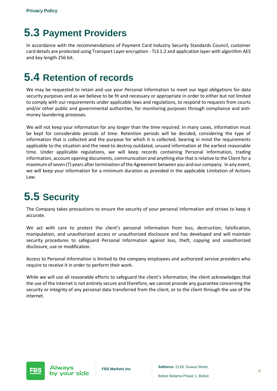### <span id="page-7-0"></span>**5.3 Payment Providers**

In accordance with the recommendations of Payment Card Industry Security Standards Council, customer card details are protected using Transport Layer encryption - TLS 1.2 and application layer with algorithm AES and key length 256 bit.

### <span id="page-7-1"></span>**5.4 Retention of records**

We may be requested to retain and use your Personal Information to meet our legal obligations for data security purposes and as we believe to be fit and necessary or appropriate in order to either but not limited to comply with our requirements under applicable laws and regulations, to respond to requests from courts and/or other public and governmental authorities, for monitoring purposes through compliance and antimoney laundering processes.

We will not keep your information for any longer than the time required. In many cases, information must be kept for considerable periods of time. Retention periods will be decided, considering the type of information that is collected and the purpose for which it is collected, bearing in mind the requirements applicable to the situation and the need to destroy outdated, unused information at the earliest reasonable time. Under applicable regulations, we will keep records containing Personal Information, trading information, account opening documents, communication and anything else that isrelative to the Client for a maximumofseven (7) years after termination of the Agreement between you and our company. In any event, we will keep your information for a minimum duration as provided in the applicable Limitation of Actions Law.

### <span id="page-7-2"></span>**5.5 Security**

The Company takes precautions to ensure the security of your personal information and strives to keep it accurate.

We act with care to protect the client's personal information from loss, destruction, falsification, manipulation, and unauthorized access or unauthorized disclosure and has developed and will maintain security procedures to safeguard Personal Information against loss, theft, copying and unauthorized disclosure, use or modification.

Access to Personal Information is limited to the company employees and authorized service providers who require to receive it in order to perform their work.

While we will use all reasonable efforts to safeguard the client's information, the client acknowledges that the use of the internet is not entirely secure and therefore, we cannot provide any guarantee concerning the security or integrity of any personal data transferred from the client, or to the client through the use of the internet.

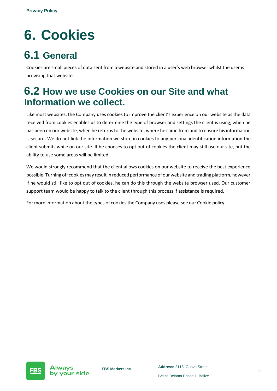# <span id="page-8-0"></span>**6. Cookies**

### <span id="page-8-1"></span>**6.1 General**

Cookies are small pieces of data sent from a website and stored in a user's web browser whilst the user is browsing that website.

#### <span id="page-8-2"></span>**6.2 How we use Cookies on our Site and what Information we collect.**

Like most websites, the Company uses cookies to improve the client's experience on our website as the data received from cookies enables us to determine the type of browser and settings the client is using, when he has been on our website, when he returns to the website, where he came from and to ensure his information is secure. We do not link the information we store in cookies to any personal identification information the client submits while on our site. If he chooses to opt out of cookies the client may still use our site, but the ability to use some areas will be limited.

We would strongly recommend that the client allows cookies on our website to receive the best experience possible. Turning off cookies may result in reduced performance of our website and trading platform, however if he would still like to opt out of cookies, he can do this through the website browser used. Our customer support team would be happy to talk to the client through this process if assistance is required.

For more information about the types of cookies the Company uses please see our Cookie policy.

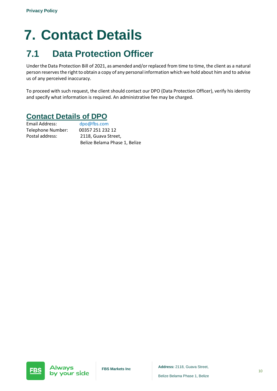# <span id="page-9-0"></span>**7. Contact Details**

### <span id="page-9-1"></span>**7.1 Data Protection Officer**

Under the Data Protection Bill of 2021, as amended and/or replaced from time to time, the client as a natural person reservesthe right to obtain a copy of any personal information which we hold about him and to advise us of any perceived inaccuracy.

To proceed with such request, the client should contact our DPO (Data Protection Officer), verify his identity and specify what information is required. An administrative fee may be charged.

#### **Contact Details of DPO**

Email Address: dpo@fbs.com Telephone Number: 00357 251 232 12 Postal address: 2118, Guava Street, Belize Belama Phase 1, Belize

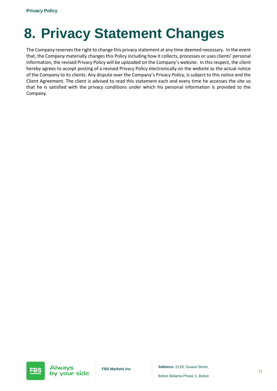# <span id="page-10-0"></span>**8. Privacy Statement Changes**

The Company reserves the right to change this privacy statement at any time deemed necessary. In the event that, the Company materially changes this Policy including how it collects, processes or uses clients' personal information, the revised Privacy Policy will be uploaded on the Company's website. In this respect, the client hereby agrees to accept posting of a revised Privacy Policy electronically on the website as the actual notice of the Company to its clients. Any dispute over the Company's Privacy Policy, is subject to this notice and the Client Agreement. The client is advised to read this statement each and every time he accesses the site so that he is satisfied with the privacy conditions under which his personal information is provided to the Company.